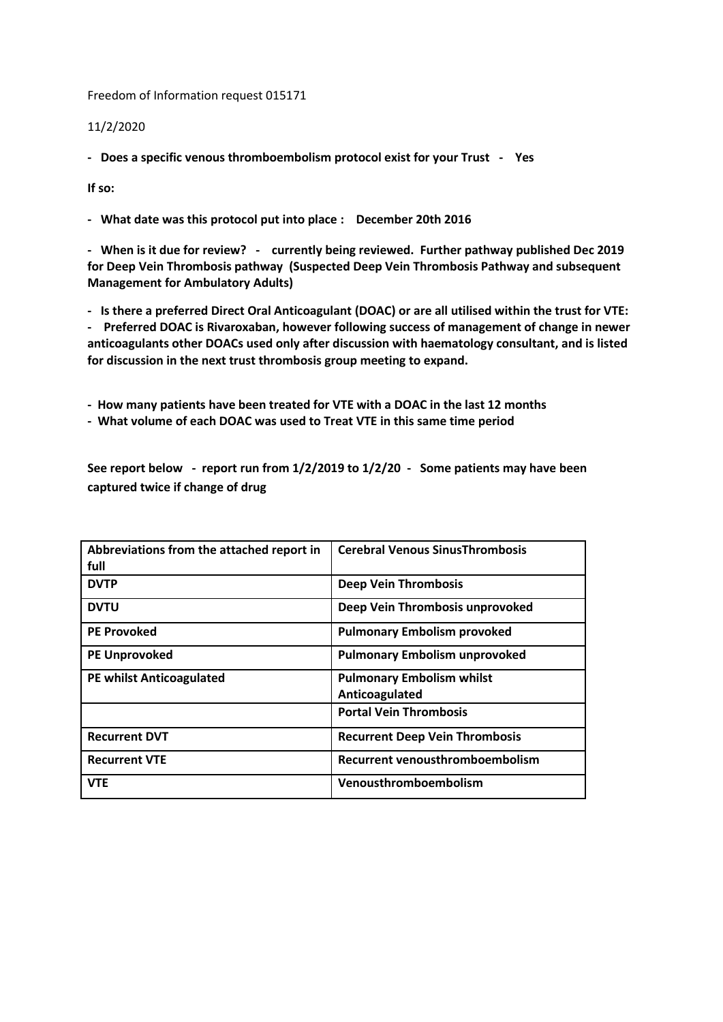Freedom of Information request 015171

11/2/2020

**- Does a specific venous thromboembolism protocol exist for your Trust - Yes** 

**If so:**

**- What date was this protocol put into place : December 20th 2016**

**- When is it due for review? - currently being reviewed. Further pathway published Dec 2019 for Deep Vein Thrombosis pathway (Suspected Deep Vein Thrombosis Pathway and subsequent Management for Ambulatory Adults)**

**- Is there a preferred Direct Oral Anticoagulant (DOAC) or are all utilised within the trust for VTE: - Preferred DOAC is Rivaroxaban, however following success of management of change in newer** 

**anticoagulants other DOACs used only after discussion with haematology consultant, and is listed for discussion in the next trust thrombosis group meeting to expand.**

**- How many patients have been treated for VTE with a DOAC in the last 12 months**

**- What volume of each DOAC was used to Treat VTE in this same time period**

**See report below - report run from 1/2/2019 to 1/2/20 - Some patients may have been captured twice if change of drug**

| Abbreviations from the attached report in<br>full | <b>Cerebral Venous Sinus Thrombosis</b> |
|---------------------------------------------------|-----------------------------------------|
| <b>DVTP</b>                                       | <b>Deep Vein Thrombosis</b>             |
| <b>DVTU</b>                                       | Deep Vein Thrombosis unprovoked         |
| <b>PE Provoked</b>                                | <b>Pulmonary Embolism provoked</b>      |
| <b>PE Unprovoked</b>                              | <b>Pulmonary Embolism unprovoked</b>    |
| <b>PE whilst Anticoagulated</b>                   | <b>Pulmonary Embolism whilst</b>        |
|                                                   | Anticoagulated                          |
|                                                   | <b>Portal Vein Thrombosis</b>           |
| <b>Recurrent DVT</b>                              | <b>Recurrent Deep Vein Thrombosis</b>   |
| <b>Recurrent VTE</b>                              | Recurrent venousthromboembolism         |
| <b>VTE</b>                                        | Venousthromboembolism                   |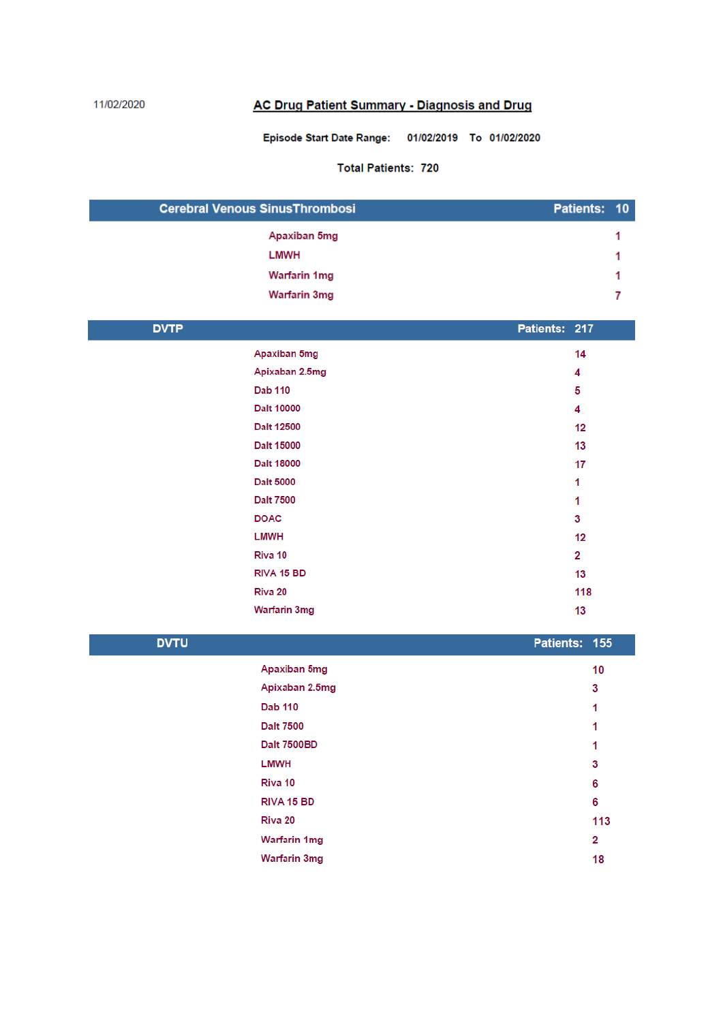## 11/02/2020

## **AC Drug Patient Summary - Diagnosis and Drug**

## Episode Start Date Range: 01/02/2019 To 01/02/2020

## **Total Patients: 720**

| <b>Cerebral Venous SinusThrombosi</b> |  | Patients: 10 |
|---------------------------------------|--|--------------|
| Apaxiban 5mg                          |  |              |
| LMWH                                  |  |              |
| Warfarin 1mg                          |  |              |
| <b>Warfarin 3mg</b>                   |  |              |

| <b>DVTP</b> |                     | Patients: 217 |     |
|-------------|---------------------|---------------|-----|
|             | Apaxiban 5mg        |               | 14  |
|             | Apixaban 2.5mg      |               | 4   |
|             | <b>Dab 110</b>      |               | 5   |
|             | <b>Dalt 10000</b>   |               | 4   |
|             | <b>Dalt 12500</b>   |               | 12  |
|             | Dalt 15000          |               | 13  |
|             | <b>Dalt 18000</b>   |               | 17  |
|             | <b>Dalt 5000</b>    |               | 1   |
|             | <b>Dalt 7500</b>    |               | 1   |
|             | <b>DOAC</b>         |               | 3   |
|             | <b>LMWH</b>         |               | 12  |
|             | Riva 10             |               | 2   |
|             | RIVA 15 BD          |               | 13  |
|             | Riva 20             |               | 118 |
|             | <b>Warfarin 3mg</b> |               | 13  |
|             |                     |               |     |

| <b>DVTU</b> |                     | Patients: 155 |     |
|-------------|---------------------|---------------|-----|
|             | Apaxiban 5mg        |               | 10  |
|             | Apixaban 2.5mg      |               | 3   |
|             | <b>Dab 110</b>      |               | 1   |
|             | <b>Dalt 7500</b>    |               | 1   |
|             | <b>Dalt 7500BD</b>  |               | 1   |
|             | <b>LMWH</b>         |               | 3   |
|             | Riva 10             |               | 6   |
|             | RIVA 15 BD          |               | 6   |
|             | Riva 20             |               | 113 |
|             | <b>Warfarin 1mg</b> |               | 2   |
|             | <b>Warfarin 3mg</b> |               | 18  |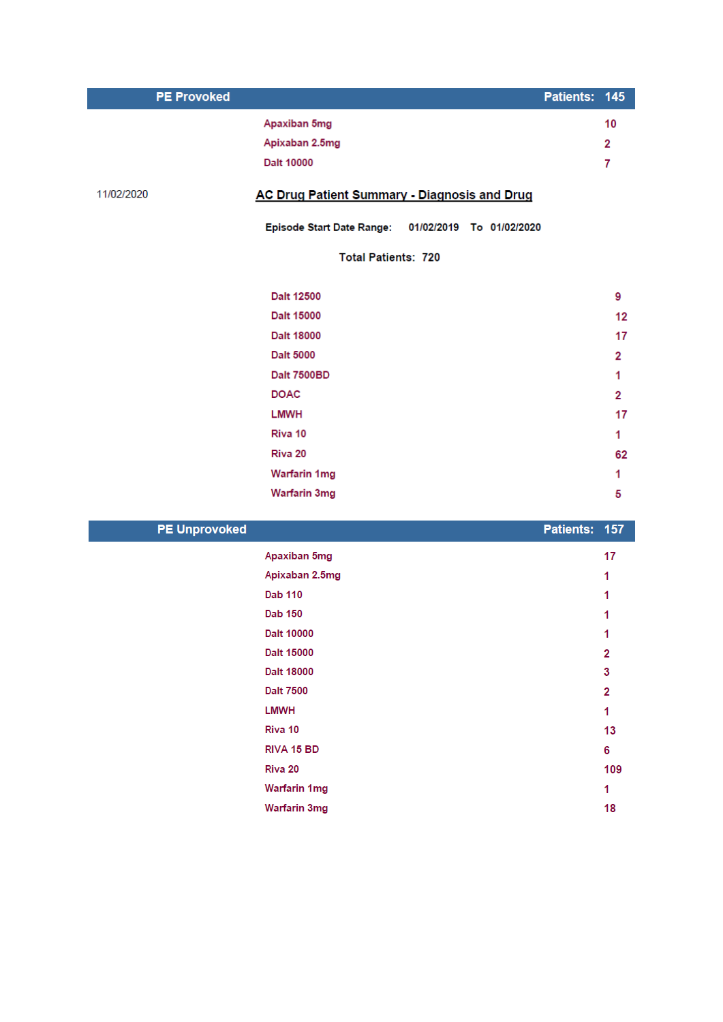| <b>PE Provoked</b> |                                                              | Patients: 145 |         |
|--------------------|--------------------------------------------------------------|---------------|---------|
|                    | Apaxiban 5mg                                                 |               | 10      |
|                    | Apixaban 2.5mg                                               |               | 2       |
|                    | Dalt 10000                                                   |               | 7       |
| 11/02/2020         | AC Drug Patient Summary - Diagnosis and Drug                 |               |         |
|                    | <b>Episode Start Date Range:</b><br>01/02/2019 To 01/02/2020 |               |         |
|                    | <b>Total Patients: 720</b>                                   |               |         |
|                    | Dalt 12500                                                   |               | 9       |
|                    | Dalt 15000                                                   |               | $12 \,$ |
|                    | Dalt 18000                                                   |               | 17      |
|                    | <b>Dalt 5000</b>                                             |               | 2       |
|                    | Dalt 7500BD                                                  |               | 1       |
|                    | <b>DOAC</b>                                                  |               | 2       |
|                    | <b>LMWH</b>                                                  |               | 17      |
|                    | Riva 10                                                      |               | 1       |
|                    | Riva 20                                                      |               | 62      |
|                    | <b>Warfarin 1mg</b>                                          |               | 1       |
|                    | <b>Warfarin 3mg</b>                                          |               | 5       |
|                    |                                                              |               |         |

| <b>PE Unprovoked</b> | Patients: 157 |     |
|----------------------|---------------|-----|
| Apaxiban 5mg         |               | 17  |
| Apixaban 2.5mg       |               | 1   |
| <b>Dab 110</b>       |               |     |
| <b>Dab 150</b>       |               | 1   |
| Dalt 10000           |               |     |
| Dalt 15000           |               | 2   |
| Dalt 18000           |               | 3   |
| <b>Dalt 7500</b>     |               | 2   |
| <b>LMWH</b>          |               | 1   |
| Riva 10              |               | 13  |
| RIVA 15 BD           |               | 6   |
| Riva 20              |               | 109 |
| <b>Warfarin 1mg</b>  |               | 1   |
| <b>Warfarin 3mg</b>  |               | 18  |